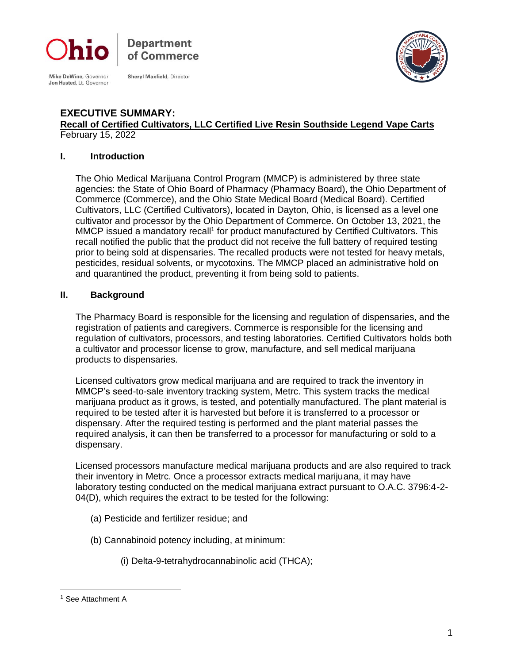

Mike DeWine, Governor<br>Jon Husted, Lt. Governor

**Shervl Maxfield, Director** 

Department of Commerce



#### **EXECUTIVE SUMMARY: Recall of Certified Cultivators, LLC Certified Live Resin Southside Legend Vape Carts** February 15, 2022

#### **I. Introduction**

The Ohio Medical Marijuana Control Program (MMCP) is administered by three state agencies: the State of Ohio Board of Pharmacy (Pharmacy Board), the Ohio Department of Commerce (Commerce), and the Ohio State Medical Board (Medical Board). Certified Cultivators, LLC (Certified Cultivators), located in Dayton, Ohio, is licensed as a level one cultivator and processor by the Ohio Department of Commerce. On October 13, 2021, the MMCP issued a mandatory recall<sup>1</sup> for product manufactured by Certified Cultivators. This recall notified the public that the product did not receive the full battery of required testing prior to being sold at dispensaries. The recalled products were not tested for heavy metals, pesticides, residual solvents, or mycotoxins. The MMCP placed an administrative hold on and quarantined the product, preventing it from being sold to patients.

### **II. Background**

The Pharmacy Board is responsible for the licensing and regulation of dispensaries, and the registration of patients and caregivers. Commerce is responsible for the licensing and regulation of cultivators, processors, and testing laboratories. Certified Cultivators holds both a cultivator and processor license to grow, manufacture, and sell medical marijuana products to dispensaries.

Licensed cultivators grow medical marijuana and are required to track the inventory in MMCP's seed-to-sale inventory tracking system, Metrc. This system tracks the medical marijuana product as it grows, is tested, and potentially manufactured. The plant material is required to be tested after it is harvested but before it is transferred to a processor or dispensary. After the required testing is performed and the plant material passes the required analysis, it can then be transferred to a processor for manufacturing or sold to a dispensary.

Licensed processors manufacture medical marijuana products and are also required to track their inventory in Metrc. Once a processor extracts medical marijuana, it may have laboratory testing conducted on the medical marijuana extract pursuant to O.A.C. 3796:4-2- 04(D), which requires the extract to be tested for the following:

- (a) Pesticide and fertilizer residue; and
- (b) Cannabinoid potency including, at minimum:
	- (i) Delta-9-tetrahydrocannabinolic acid (THCA);

<sup>&</sup>lt;sup>1</sup> See Attachment A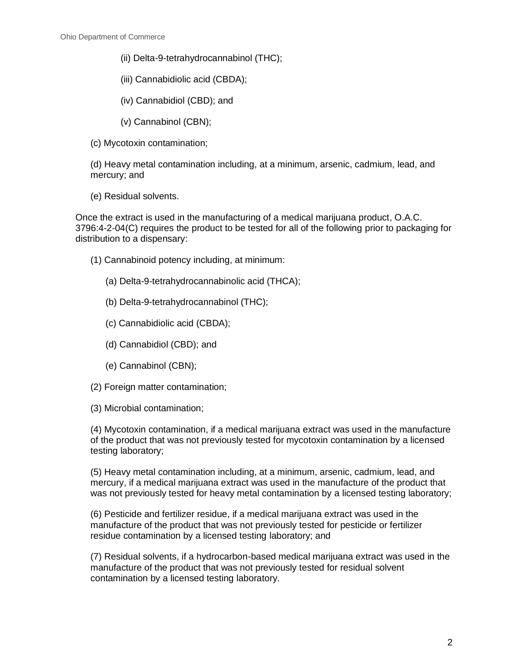- (ii) Delta-9-tetrahydrocannabinol (THC);
- (iii) Cannabidiolic acid (CBDA);
- (iv) Cannabidiol (CBD); and
- (v) Cannabinol (CBN);
- (c) Mycotoxin contamination;

(d) Heavy metal contamination including, at a minimum, arsenic, cadmium, lead, and mercury; and

(e) Residual solvents.

Once the extract is used in the manufacturing of a medical marijuana product, O.A.C. 3796:4-2-04(C) requires the product to be tested for all of the following prior to packaging for distribution to a dispensary:

- (1) Cannabinoid potency including, at minimum:
	- (a) Delta-9-tetrahydrocannabinolic acid (THCA);
	- (b) Delta-9-tetrahydrocannabinol (THC);
	- (c) Cannabidiolic acid (CBDA);
	- (d) Cannabidiol (CBD); and
	- (e) Cannabinol (CBN);
- (2) Foreign matter contamination;
- (3) Microbial contamination;

(4) Mycotoxin contamination, if a medical marijuana extract was used in the manufacture of the product that was not previously tested for mycotoxin contamination by a licensed testing laboratory;

(5) Heavy metal contamination including, at a minimum, arsenic, cadmium, lead, and mercury, if a medical marijuana extract was used in the manufacture of the product that was not previously tested for heavy metal contamination by a licensed testing laboratory;

(6) Pesticide and fertilizer residue, if a medical marijuana extract was used in the manufacture of the product that was not previously tested for pesticide or fertilizer residue contamination by a licensed testing laboratory; and

(7) Residual solvents, if a hydrocarbon-based medical marijuana extract was used in the manufacture of the product that was not previously tested for residual solvent contamination by a licensed testing laboratory.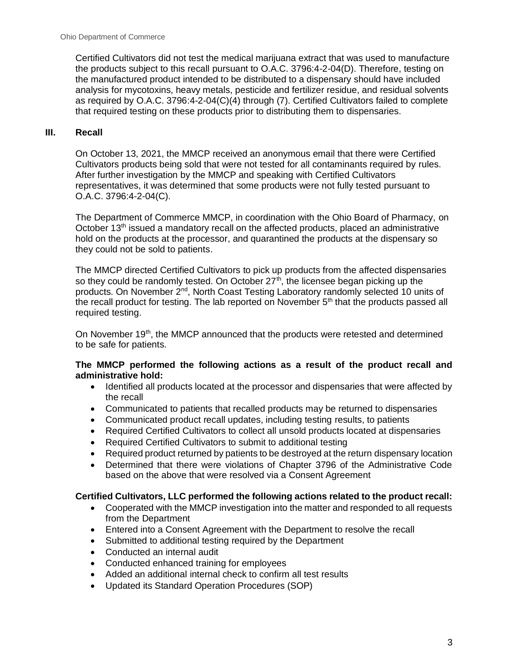Certified Cultivators did not test the medical marijuana extract that was used to manufacture the products subject to this recall pursuant to O.A.C. 3796:4-2-04(D). Therefore, testing on the manufactured product intended to be distributed to a dispensary should have included analysis for mycotoxins, heavy metals, pesticide and fertilizer residue, and residual solvents as required by O.A.C. 3796:4-2-04(C)(4) through (7). Certified Cultivators failed to complete that required testing on these products prior to distributing them to dispensaries.

## **III. Recall**

On October 13, 2021, the MMCP received an anonymous email that there were Certified Cultivators products being sold that were not tested for all contaminants required by rules. After further investigation by the MMCP and speaking with Certified Cultivators representatives, it was determined that some products were not fully tested pursuant to O.A.C. 3796:4-2-04(C).

The Department of Commerce MMCP, in coordination with the Ohio Board of Pharmacy, on October 13<sup>th</sup> issued a mandatory recall on the affected products, placed an administrative hold on the products at the processor, and quarantined the products at the dispensary so they could not be sold to patients.

The MMCP directed Certified Cultivators to pick up products from the affected dispensaries so they could be randomly tested. On October  $27<sup>th</sup>$ , the licensee began picking up the products. On November 2<sup>nd</sup>, North Coast Testing Laboratory randomly selected 10 units of the recall product for testing. The lab reported on November  $5<sup>th</sup>$  that the products passed all required testing.

On November 19<sup>th</sup>, the MMCP announced that the products were retested and determined to be safe for patients.

### **The MMCP performed the following actions as a result of the product recall and administrative hold:**

- Identified all products located at the processor and dispensaries that were affected by the recall
- Communicated to patients that recalled products may be returned to dispensaries
- Communicated product recall updates, including testing results, to patients
- Required Certified Cultivators to collect all unsold products located at dispensaries
- Required Certified Cultivators to submit to additional testing
- Required product returned by patients to be destroyed at the return dispensary location
- Determined that there were violations of Chapter 3796 of the Administrative Code based on the above that were resolved via a Consent Agreement

#### **Certified Cultivators, LLC performed the following actions related to the product recall:**

- Cooperated with the MMCP investigation into the matter and responded to all requests from the Department
- Entered into a Consent Agreement with the Department to resolve the recall
- Submitted to additional testing required by the Department
- Conducted an internal audit
- Conducted enhanced training for employees
- Added an additional internal check to confirm all test results
- Updated its Standard Operation Procedures (SOP)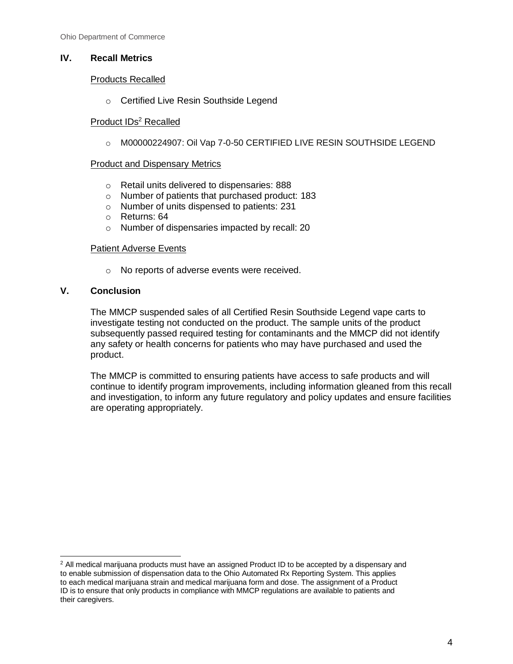## **IV. Recall Metrics**

### Products Recalled

o Certified Live Resin Southside Legend

## Product IDs<sup>2</sup> Recalled

o M00000224907: Oil Vap 7-0-50 CERTIFIED LIVE RESIN SOUTHSIDE LEGEND

#### Product and Dispensary Metrics

- o Retail units delivered to dispensaries: 888
- o Number of patients that purchased product: 183
- o Number of units dispensed to patients: 231
- o Returns: 64
- o Number of dispensaries impacted by recall: 20

#### Patient Adverse Events

o No reports of adverse events were received.

## **V. Conclusion**

The MMCP suspended sales of all Certified Resin Southside Legend vape carts to investigate testing not conducted on the product. The sample units of the product subsequently passed required testing for contaminants and the MMCP did not identify any safety or health concerns for patients who may have purchased and used the product.

The MMCP is committed to ensuring patients have access to safe products and will continue to identify program improvements, including information gleaned from this recall and investigation, to inform any future regulatory and policy updates and ensure facilities are operating appropriately.

 $<sup>2</sup>$  All medical marijuana products must have an assigned Product ID to be accepted by a dispensary and</sup> to enable submission of dispensation data to the Ohio Automated Rx Reporting System. This applies to each medical marijuana strain and medical marijuana form and dose. The assignment of a Product ID is to ensure that only products in compliance with MMCP regulations are available to patients and their caregivers.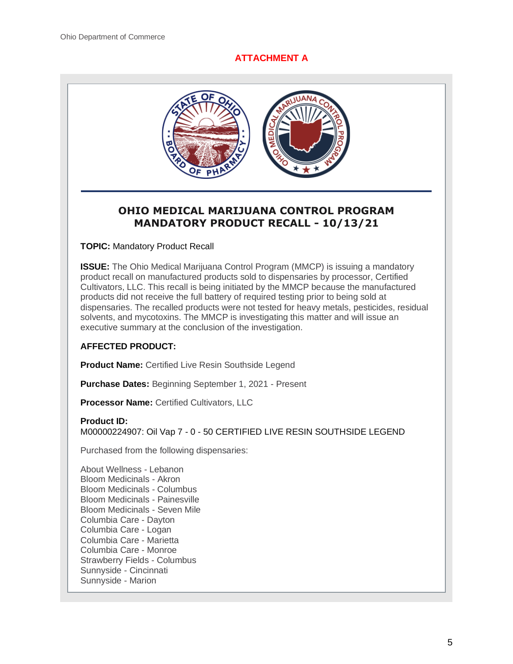## **ATTACHMENT A**



# **OHIO MEDICAL MARIJUANA CONTROL PROGRAM MANDATORY PRODUCT RECALL - 10/13/21**

**TOPIC:** Mandatory Product Recall

**ISSUE:** The Ohio Medical Marijuana Control Program (MMCP) is issuing a mandatory product recall on manufactured products sold to dispensaries by processor, Certified Cultivators, LLC. This recall is being initiated by the MMCP because the manufactured products did not receive the full battery of required testing prior to being sold at dispensaries. The recalled products were not tested for heavy metals, pesticides, residual solvents, and mycotoxins. The MMCP is investigating this matter and will issue an executive summary at the conclusion of the investigation.

## **AFFECTED PRODUCT:**

**Product Name:** Certified Live Resin Southside Legend

**Purchase Dates:** Beginning September 1, 2021 - Present

**Processor Name:** Certified Cultivators, LLC

#### **Product ID:**

M00000224907: Oil Vap 7 - 0 - 50 CERTIFIED LIVE RESIN SOUTHSIDE LEGEND

Purchased from the following dispensaries:

About Wellness - Lebanon Bloom Medicinals - Akron Bloom Medicinals - Columbus Bloom Medicinals - Painesville Bloom Medicinals - Seven Mile Columbia Care - Dayton Columbia Care - Logan Columbia Care - Marietta Columbia Care - Monroe Strawberry Fields - Columbus Sunnyside - Cincinnati Sunnyside - Marion